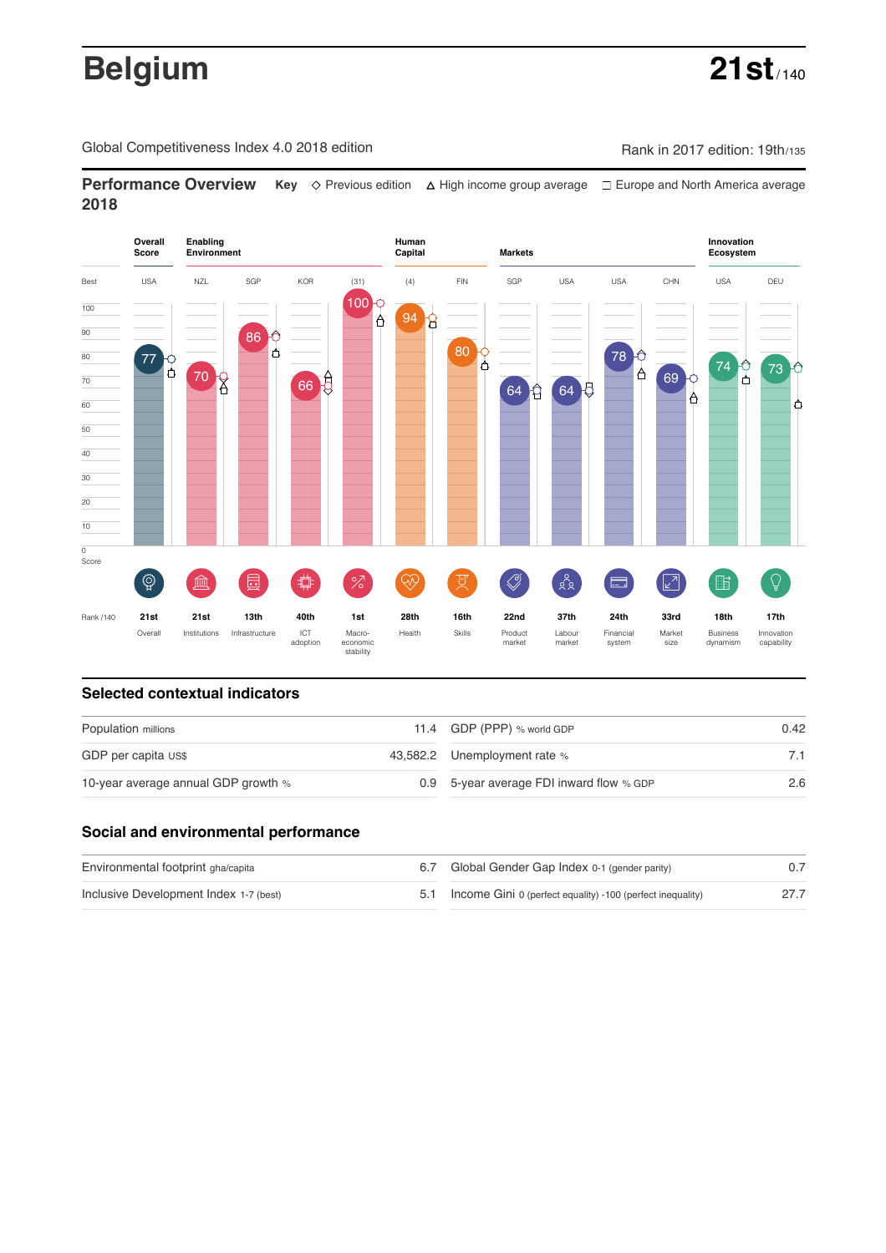# **Belgium 21st**

Global Competitiveness Index 4.0 2018 edition Company Rank in 2017 edition: 19th/135

**Performance Overview** Key  $\Diamond$  Previous edition ∆ High income group average  $\Box$  Europe and North America average **2018**



## **Selected contextual indicators**

| Population millions                 | 11.4 GDP (PPP) % world GDP               | 0.42 |  |
|-------------------------------------|------------------------------------------|------|--|
| GDP per capita US\$                 | 43,582.2 Unemployment rate %             |      |  |
| 10-year average annual GDP growth % | 0.9 5-year average FDI inward flow % GDP | 2.6  |  |

# **Social and environmental performance**

| Environmental footprint gha/capita     | 6.7 Global Gender Gap Index 0-1 (gender parity)                |  |
|----------------------------------------|----------------------------------------------------------------|--|
| Inclusive Development Index 1-7 (best) | 5.1 Income Gini 0 (perfect equality) -100 (perfect inequality) |  |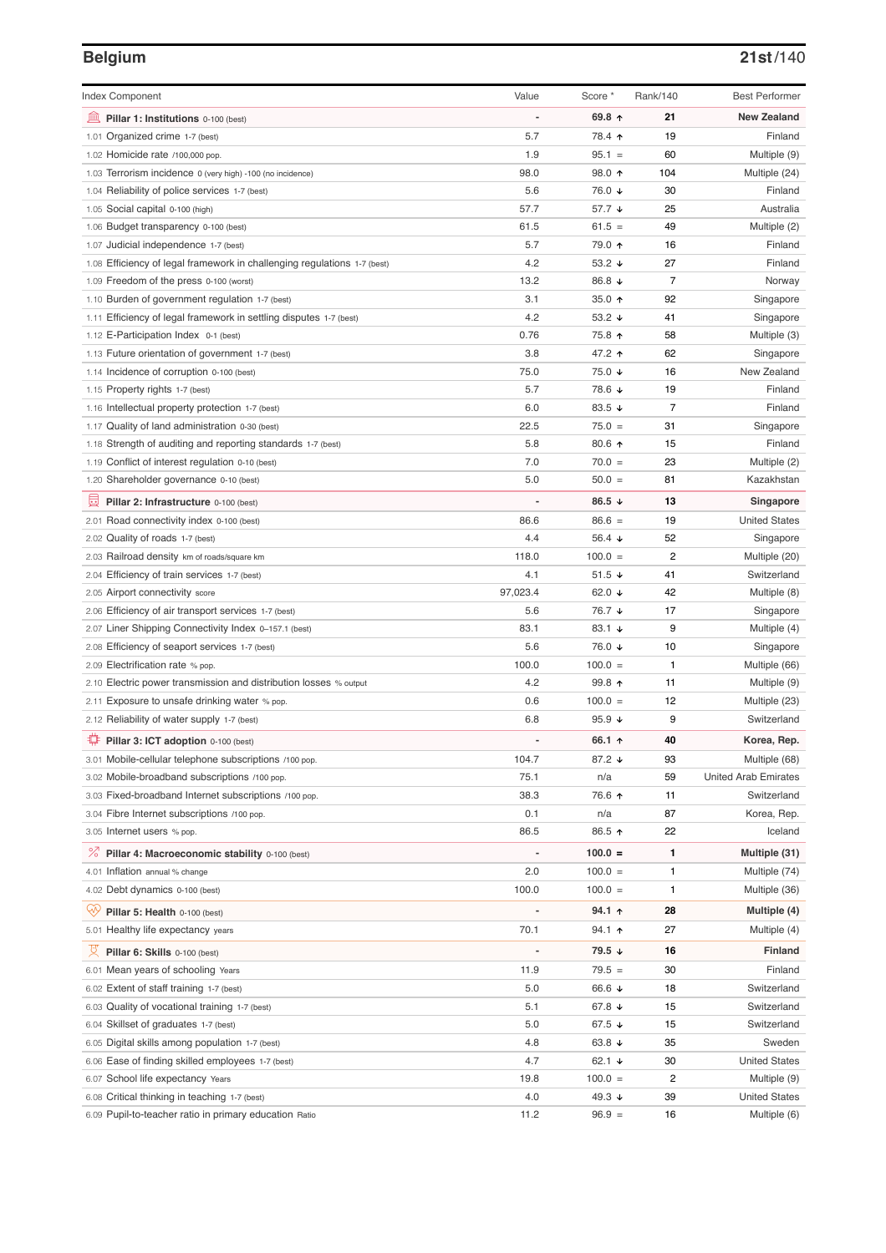### **Belgium 21st**/140

| <b>Index Component</b>                                                   | Value                    | Score *         | Rank/140       | <b>Best Performer</b>       |
|--------------------------------------------------------------------------|--------------------------|-----------------|----------------|-----------------------------|
| 寙<br>Pillar 1: Institutions 0-100 (best)                                 |                          | 69.8 ↑          | 21             | <b>New Zealand</b>          |
| Organized crime 1-7 (best)<br>1.01                                       | 5.7                      | 78.4 ↑          | 19             | Finland                     |
| 1.02 Homicide rate /100,000 pop.                                         | 1.9                      | $95.1 =$        | 60             | Multiple (9)                |
| 1.03 Terrorism incidence 0 (very high) -100 (no incidence)               | 98.0                     | 98.0 个          | 104            | Multiple (24)               |
| 1.04 Reliability of police services 1-7 (best)                           | 5.6                      | 76.0 ↓          | 30             | Finland                     |
| 1.05 Social capital 0-100 (high)                                         | 57.7                     | 57.7 ↓          | 25             | Australia                   |
| 1.06 Budget transparency 0-100 (best)                                    | 61.5                     | $61.5 =$        | 49             | Multiple (2)                |
| 1.07 Judicial independence 1-7 (best)                                    | 5.7                      | 79.0 ↑          | 16             | Finland                     |
| 1.08 Efficiency of legal framework in challenging regulations 1-7 (best) | 4.2                      | 53.2 ↓          | 27             | Finland                     |
| 1.09 Freedom of the press 0-100 (worst)                                  | 13.2                     | 86.8 ↓          | 7              | Norway                      |
| 1.10 Burden of government regulation 1-7 (best)                          | 3.1                      | 35.0 $\uparrow$ | 92             | Singapore                   |
| 1.11 Efficiency of legal framework in settling disputes 1-7 (best)       | 4.2                      | 53.2 $\sqrt{ }$ | 41             | Singapore                   |
| 1.12 E-Participation Index 0-1 (best)                                    | 0.76                     | 75.8 ↑          | 58             | Multiple (3)                |
| 1.13 Future orientation of government 1-7 (best)                         | 3.8                      | 47.2 ↑          | 62             | Singapore                   |
| 1.14 Incidence of corruption 0-100 (best)                                | 75.0                     | 75.0 ↓          | 16             | New Zealand                 |
| 1.15 Property rights 1-7 (best)                                          | 5.7                      | 78.6 ↓          | 19             | Finland                     |
| 1.16 Intellectual property protection 1-7 (best)                         | 6.0                      | 83.5 $\sqrt{ }$ | 7              | Finland                     |
| 1.17 Quality of land administration 0-30 (best)                          | 22.5                     | $75.0 =$        | 31             | Singapore                   |
| 1.18 Strength of auditing and reporting standards 1-7 (best)             | 5.8                      | 80.6 ↑          | 15             | Finland                     |
| 1.19 Conflict of interest regulation 0-10 (best)                         | 7.0                      | $70.0 =$        | 23             | Multiple (2)                |
| 1.20 Shareholder governance 0-10 (best)                                  | 5.0                      | $50.0 =$        | 81             | Kazakhstan                  |
| 員<br>Pillar 2: Infrastructure 0-100 (best)                               |                          | 86.5 $\sqrt{ }$ | 13             | Singapore                   |
| 2.01 Road connectivity index 0-100 (best)                                | 86.6                     | $86.6 =$        | 19             | <b>United States</b>        |
| 2.02 Quality of roads 1-7 (best)                                         | 4.4                      | 56.4 $\sqrt{ }$ | 52             | Singapore                   |
| 2.03 Railroad density km of roads/square km                              | 118.0                    | $100.0 =$       | $\overline{c}$ | Multiple (20)               |
| 2.04 Efficiency of train services 1-7 (best)                             | 4.1                      | $51.5 +$        | 41             | Switzerland                 |
| 2.05 Airport connectivity score                                          | 97,023.4                 | 62.0 $\sqrt{ }$ | 42             | Multiple (8)                |
| 2.06 Efficiency of air transport services 1-7 (best)                     | 5.6                      | 76.7 ↓          | 17             | Singapore                   |
| 2.07 Liner Shipping Connectivity Index 0-157.1 (best)                    | 83.1                     | 83.1 $\sqrt{ }$ | 9              | Multiple (4)                |
| 2.08 Efficiency of seaport services 1-7 (best)                           | 5.6                      | 76.0 ↓          | 10             | Singapore                   |
| 2.09 Electrification rate % pop.                                         | 100.0                    | $100.0 =$       | 1              | Multiple (66)               |
| 2.10 Electric power transmission and distribution losses % output        | 4.2                      | 99.8 ↑          | 11             | Multiple (9)                |
| 2.11 Exposure to unsafe drinking water % pop.                            | 0.6                      | $100.0 =$       | 12             | Multiple (23)               |
| 2.12 Reliability of water supply 1-7 (best)                              | 6.8                      | 95.9 $\sqrt{ }$ | 9              | Switzerland                 |
| O<br>Pillar 3: ICT adoption 0-100 (best)                                 |                          | 66.1 $\uparrow$ | 40             | Korea, Rep.                 |
| 3.01 Mobile-cellular telephone subscriptions /100 pop.                   | 104.7                    | 87.2 ↓          | 93             | Multiple (68)               |
| 3.02 Mobile-broadband subscriptions /100 pop.                            | 75.1                     | n/a             | 59             | <b>United Arab Emirates</b> |
| 3.03 Fixed-broadband Internet subscriptions /100 pop.                    | 38.3                     | 76.6 ↑          | 11             | Switzerland                 |
| 3.04 Fibre Internet subscriptions /100 pop.                              | 0.1                      | n/a             | 87             | Korea, Rep.                 |
| 3.05 Internet users % pop.                                               | 86.5                     | 86.5 ↑          | 22             | Iceland                     |
| $\%$<br>Pillar 4: Macroeconomic stability 0-100 (best)                   | $\overline{\phantom{a}}$ | $100.0 =$       | 1              | Multiple (31)               |
| 4.01 Inflation annual % change                                           | 2.0                      | $100.0 =$       | 1              | Multiple (74)               |
| 4.02 Debt dynamics 0-100 (best)                                          | 100.0                    | $100.0 =$       | 1              | Multiple (36)               |
| Qv<br>Pillar 5: Health 0-100 (best)                                      |                          | 94.1 ↑          | 28             | Multiple (4)                |
| 5.01 Healthy life expectancy years                                       | 70.1                     | $94.1$ 1        | 27             | Multiple (4)                |
| 섯<br>Pillar 6: Skills 0-100 (best)                                       | $\overline{a}$           | 79.5 ↓          | 16             | Finland                     |
| 6.01 Mean years of schooling Years                                       | 11.9                     | $79.5 =$        | 30             | Finland                     |
| 6.02 Extent of staff training 1-7 (best)                                 | 5.0                      | 66.6 ↓          | 18             | Switzerland                 |
| 6.03 Quality of vocational training 1-7 (best)                           | 5.1                      | 67.8 ↓          | 15             | Switzerland                 |
| 6.04 Skillset of graduates 1-7 (best)                                    | 5.0                      | 67.5 ↓          | 15             | Switzerland                 |
| 6.05 Digital skills among population 1-7 (best)                          | 4.8                      | 63.8 $\sqrt{ }$ | 35             | Sweden                      |
| 6.06 Ease of finding skilled employees 1-7 (best)                        | 4.7                      | 62.1 $\sqrt{ }$ | 30             | <b>United States</b>        |
| 6.07 School life expectancy Years                                        | 19.8                     | $100.0 =$       | 2              | Multiple (9)                |
| 6.08 Critical thinking in teaching 1-7 (best)                            | 4.0                      | 49.3 ↓          | 39             | <b>United States</b>        |
| 6.09 Pupil-to-teacher ratio in primary education Ratio                   | 11.2                     | $96.9 =$        | 16             | Multiple (6)                |